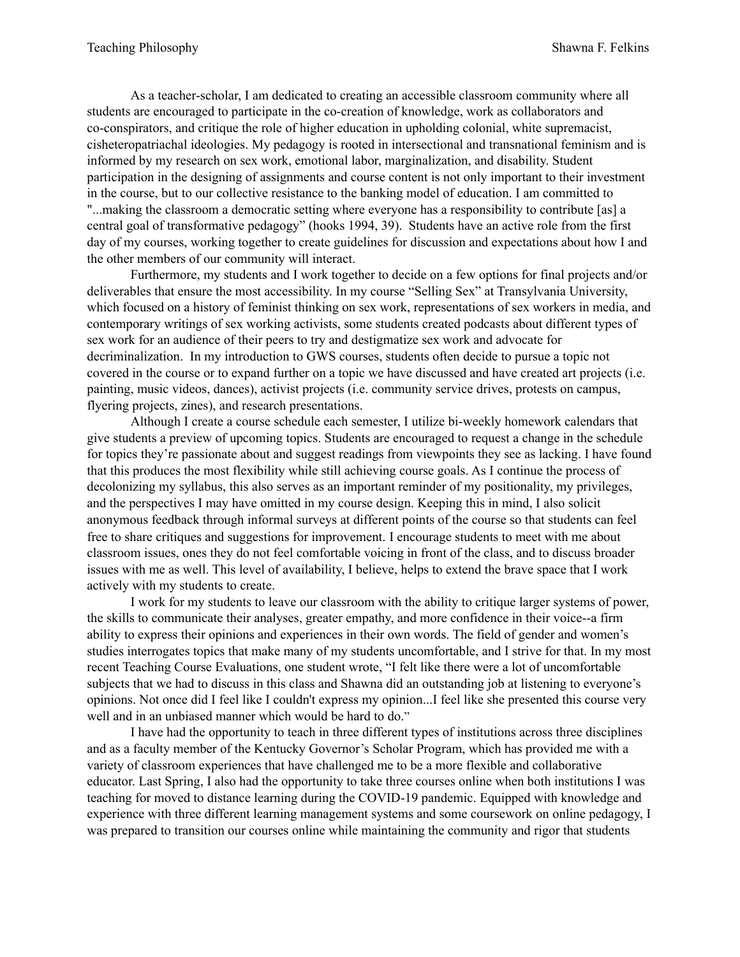As a teacher-scholar, I am dedicated to creating an accessible classroom community where all students are encouraged to participate in the co-creation of knowledge, work as collaborators and co-conspirators, and critique the role of higher education in upholding colonial, white supremacist, cisheteropatriachal ideologies. My pedagogy is rooted in intersectional and transnational feminism and is informed by my research on sex work, emotional labor, marginalization, and disability. Student participation in the designing of assignments and course content is not only important to their investment in the course, but to our collective resistance to the banking model of education. I am committed to "...making the classroom a democratic setting where everyone has a responsibility to contribute [as] a central goal of transformative pedagogy" (hooks 1994, 39). Students have an active role from the first day of my courses, working together to create guidelines for discussion and expectations about how I and the other members of our community will interact.

Furthermore, my students and I work together to decide on a few options for final projects and/or deliverables that ensure the most accessibility. In my course "Selling Sex" at Transylvania University, which focused on a history of feminist thinking on sex work, representations of sex workers in media, and contemporary writings of sex working activists, some students created podcasts about different types of sex work for an audience of their peers to try and destigmatize sex work and advocate for decriminalization. In my introduction to GWS courses, students often decide to pursue a topic not covered in the course or to expand further on a topic we have discussed and have created art projects (i.e. painting, music videos, dances), activist projects (i.e. community service drives, protests on campus, flyering projects, zines), and research presentations.

Although I create a course schedule each semester, I utilize bi-weekly homework calendars that give students a preview of upcoming topics. Students are encouraged to request a change in the schedule for topics they're passionate about and suggest readings from viewpoints they see as lacking. I have found that this produces the most flexibility while still achieving course goals. As I continue the process of decolonizing my syllabus, this also serves as an important reminder of my positionality, my privileges, and the perspectives I may have omitted in my course design. Keeping this in mind, I also solicit anonymous feedback through informal surveys at different points of the course so that students can feel free to share critiques and suggestions for improvement. I encourage students to meet with me about classroom issues, ones they do not feel comfortable voicing in front of the class, and to discuss broader issues with me as well. This level of availability, I believe, helps to extend the brave space that I work actively with my students to create.

I work for my students to leave our classroom with the ability to critique larger systems of power, the skills to communicate their analyses, greater empathy, and more confidence in their voice--a firm ability to express their opinions and experiences in their own words. The field of gender and women's studies interrogates topics that make many of my students uncomfortable, and I strive for that. In my most recent Teaching Course Evaluations, one student wrote, "I felt like there were a lot of uncomfortable subjects that we had to discuss in this class and Shawna did an outstanding job at listening to everyone's opinions. Not once did I feel like I couldn't express my opinion...I feel like she presented this course very well and in an unbiased manner which would be hard to do."

I have had the opportunity to teach in three different types of institutions across three disciplines and as a faculty member of the Kentucky Governor's Scholar Program, which has provided me with a variety of classroom experiences that have challenged me to be a more flexible and collaborative educator. Last Spring, I also had the opportunity to take three courses online when both institutions I was teaching for moved to distance learning during the COVID-19 pandemic. Equipped with knowledge and experience with three different learning management systems and some coursework on online pedagogy, I was prepared to transition our courses online while maintaining the community and rigor that students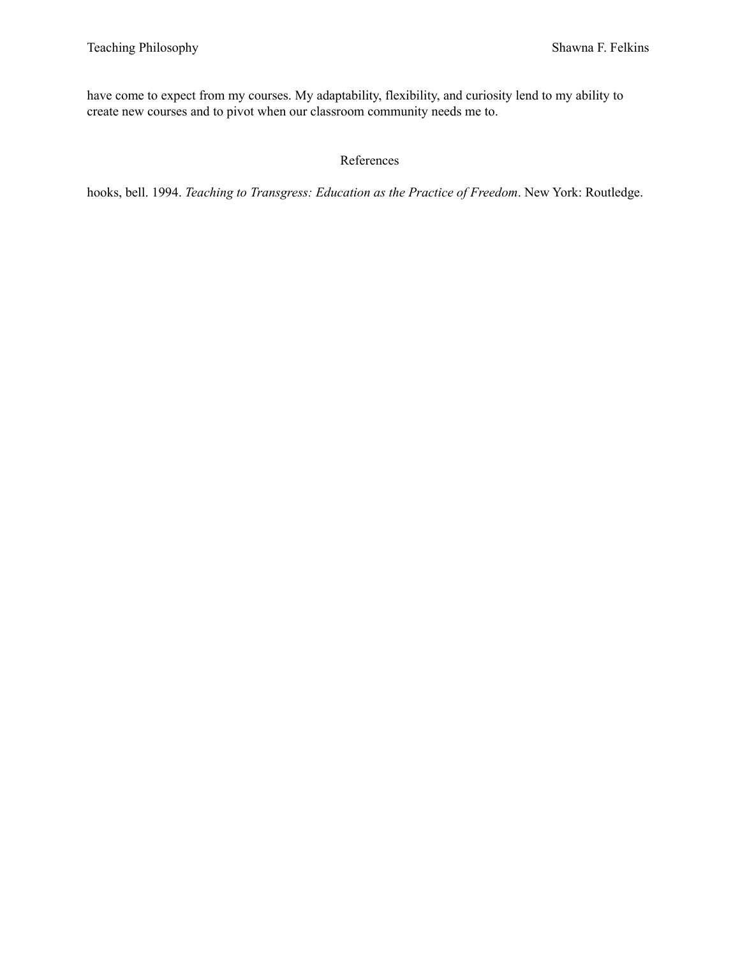have come to expect from my courses. My adaptability, flexibility, and curiosity lend to my ability to create new courses and to pivot when our classroom community needs me to.

## References

hooks, bell. 1994. *Teaching to Transgress: Education as the Practice of Freedom*. New York: Routledge.